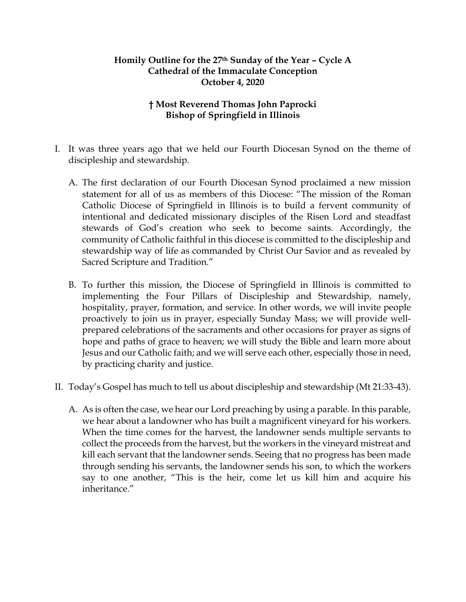## **Homily Outline for the 27th Sunday of the Year – Cycle A Cathedral of the Immaculate Conception October 4, 2020**

## **† Most Reverend Thomas John Paprocki Bishop of Springfield in Illinois**

- I. It was three years ago that we held our Fourth Diocesan Synod on the theme of discipleship and stewardship.
	- A. The first declaration of our Fourth Diocesan Synod proclaimed a new mission statement for all of us as members of this Diocese: "The mission of the Roman Catholic Diocese of Springfield in Illinois is to build a fervent community of intentional and dedicated missionary disciples of the Risen Lord and steadfast stewards of God's creation who seek to become saints. Accordingly, the community of Catholic faithful in this diocese is committed to the discipleship and stewardship way of life as commanded by Christ Our Savior and as revealed by Sacred Scripture and Tradition."
	- B. To further this mission, the Diocese of Springfield in Illinois is committed to implementing the Four Pillars of Discipleship and Stewardship, namely, hospitality, prayer, formation, and service. In other words, we will invite people proactively to join us in prayer, especially Sunday Mass; we will provide wellprepared celebrations of the sacraments and other occasions for prayer as signs of hope and paths of grace to heaven; we will study the Bible and learn more about Jesus and our Catholic faith; and we will serve each other, especially those in need, by practicing charity and justice.
- II. Today's Gospel has much to tell us about discipleship and stewardship (Mt 21:33-43).
	- A. As is often the case, we hear our Lord preaching by using a parable. In this parable, we hear about a landowner who has built a magnificent vineyard for his workers. When the time comes for the harvest, the landowner sends multiple servants to collect the proceeds from the harvest, but the workers in the vineyard mistreat and kill each servant that the landowner sends. Seeing that no progress has been made through sending his servants, the landowner sends his son, to which the workers say to one another, "This is the heir, come let us kill him and acquire his inheritance."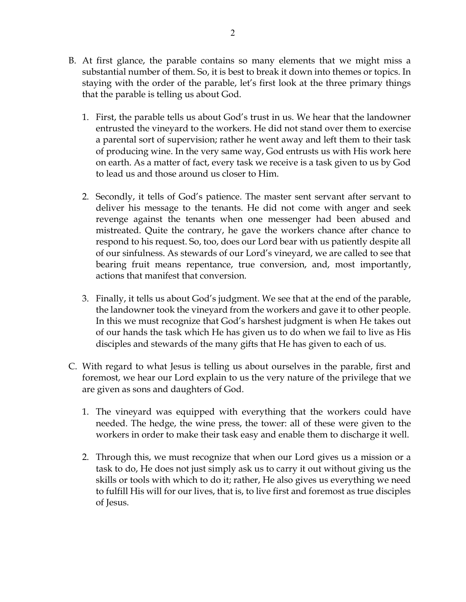- B. At first glance, the parable contains so many elements that we might miss a substantial number of them. So, it is best to break it down into themes or topics. In staying with the order of the parable, let's first look at the three primary things that the parable is telling us about God.
	- 1. First, the parable tells us about God's trust in us. We hear that the landowner entrusted the vineyard to the workers. He did not stand over them to exercise a parental sort of supervision; rather he went away and left them to their task of producing wine. In the very same way, God entrusts us with His work here on earth. As a matter of fact, every task we receive is a task given to us by God to lead us and those around us closer to Him.
	- 2. Secondly, it tells of God's patience. The master sent servant after servant to deliver his message to the tenants. He did not come with anger and seek revenge against the tenants when one messenger had been abused and mistreated. Quite the contrary, he gave the workers chance after chance to respond to his request. So, too, does our Lord bear with us patiently despite all of our sinfulness. As stewards of our Lord's vineyard, we are called to see that bearing fruit means repentance, true conversion, and, most importantly, actions that manifest that conversion.
	- 3. Finally, it tells us about God's judgment. We see that at the end of the parable, the landowner took the vineyard from the workers and gave it to other people. In this we must recognize that God's harshest judgment is when He takes out of our hands the task which He has given us to do when we fail to live as His disciples and stewards of the many gifts that He has given to each of us.
- C. With regard to what Jesus is telling us about ourselves in the parable, first and foremost, we hear our Lord explain to us the very nature of the privilege that we are given as sons and daughters of God.
	- 1. The vineyard was equipped with everything that the workers could have needed. The hedge, the wine press, the tower: all of these were given to the workers in order to make their task easy and enable them to discharge it well.
	- 2. Through this, we must recognize that when our Lord gives us a mission or a task to do, He does not just simply ask us to carry it out without giving us the skills or tools with which to do it; rather, He also gives us everything we need to fulfill His will for our lives, that is, to live first and foremost as true disciples of Jesus.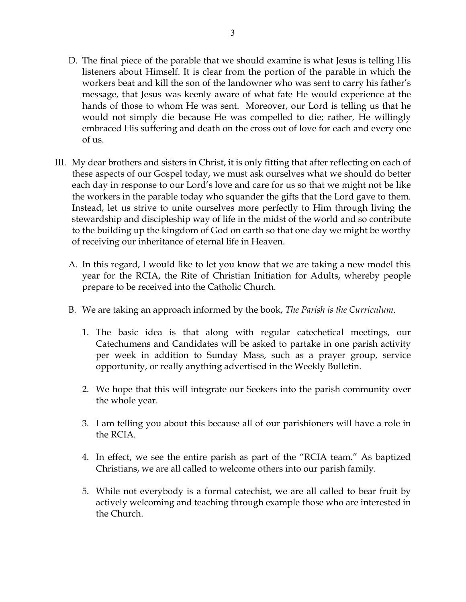- D. The final piece of the parable that we should examine is what Jesus is telling His listeners about Himself. It is clear from the portion of the parable in which the workers beat and kill the son of the landowner who was sent to carry his father's message, that Jesus was keenly aware of what fate He would experience at the hands of those to whom He was sent. Moreover, our Lord is telling us that he would not simply die because He was compelled to die; rather, He willingly embraced His suffering and death on the cross out of love for each and every one of us.
- III. My dear brothers and sisters in Christ, it is only fitting that after reflecting on each of these aspects of our Gospel today, we must ask ourselves what we should do better each day in response to our Lord's love and care for us so that we might not be like the workers in the parable today who squander the gifts that the Lord gave to them. Instead, let us strive to unite ourselves more perfectly to Him through living the stewardship and discipleship way of life in the midst of the world and so contribute to the building up the kingdom of God on earth so that one day we might be worthy of receiving our inheritance of eternal life in Heaven.
	- A. In this regard, I would like to let you know that we are taking a new model this year for the RCIA, the Rite of Christian Initiation for Adults, whereby people prepare to be received into the Catholic Church.
	- B. We are taking an approach informed by the book, *The Parish is the Curriculum*.
		- 1. The basic idea is that along with regular catechetical meetings, our Catechumens and Candidates will be asked to partake in one parish activity per week in addition to Sunday Mass, such as a prayer group, service opportunity, or really anything advertised in the Weekly Bulletin.
		- 2. We hope that this will integrate our Seekers into the parish community over the whole year.
		- 3. I am telling you about this because all of our parishioners will have a role in the RCIA.
		- 4. In effect, we see the entire parish as part of the "RCIA team." As baptized Christians, we are all called to welcome others into our parish family.
		- 5. While not everybody is a formal catechist, we are all called to bear fruit by actively welcoming and teaching through example those who are interested in the Church.